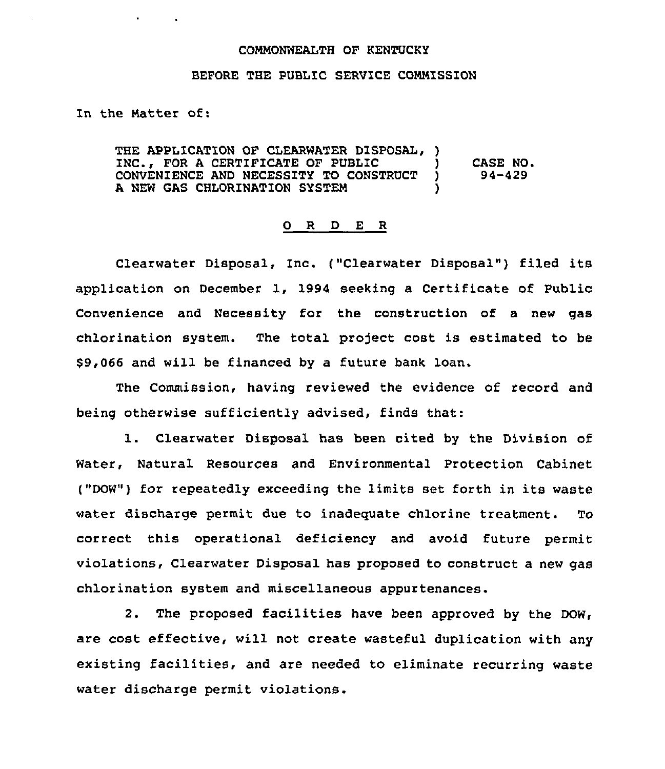## COMMONWEALTH OF KENTUCKY

## BEFORE THE PUBLIC SERVICE COMMISSION

In the Matter of:

THE APPLICATION OF CLEARWATER DISPOSAL, ) INC., FOR A CERTIFICATE OF PUBLIC (1)<br>CONVENIENCE AND NECESSITY TO CONSTRUCT (1) CONVENIENCE AND NECESSITY TO CONSTRUCT A NEW GAS CHLORINATION SYSTEM CASE NO. 94-429

## 0 R <sup>D</sup> E <sup>R</sup>

Clearwater Disposal, Inc. ("Clearwater Disposal") filed its application on December 1, 1994 seeking a Certificate of Public Convenience and Necessity for the construction of a new gas chlorination system. The total project cost is estimated to be \$9,066 and will be financed by a future bank loan.

The Commission, having reviewed the evidence of record and being otherwise sufficiently advised, finds that:

1. Clearwater Disposal has been cited by the Division of Water, Natural Resources and Environmental Protection Cabinet ("DOW") for repeatedly exceeding the limits set forth in its waste water discharge permit due to inadequate chlorine treatment. To correct this operational deficiency and avoid future permit violations, Clearwater Disposal has proposed to construct a new gas chlorination system and miscellaneous appurtenances.

2. The proposed facilities have been approved by the DOW, are cost effective, will not create wasteful duplication with any existing facilities, and are needea to eliminate recurring waste water discharge permit violations.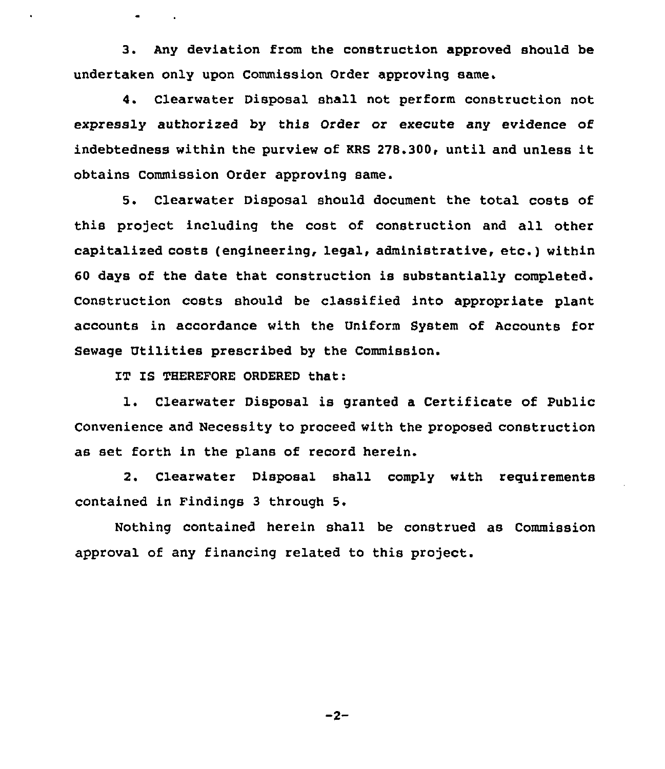3. Any deviation from the construction approved should be undertaken only upon Commission Order approving same.

4. Clearwater Disposal shall not perform construction not expressly authorized by this Order or execute any evidence of indebtedness within the purview of KRS 278.300, until and unless it obtains Commission Order approving same.

5. Clearwater Disposal should document the total costs of this project including the cost of construction and all other capitalired costs (engineering, legal, administrative, etc.) within 60 days of the date that construction is substantially completed. Construction costs should be classified into appropriate plant accounts in accordance with the Uniform System of Accounts for Sewage Utilities prescribed by the Commission.

IT IS THEREFORE ORDERED that:

 $\bullet$  . The  $\bullet$  is a  $\bullet$ 

1. Clearwater Disposal is granted <sup>a</sup> Certificate of public Convenience and Necessity to proceed with the proposed construction as set forth in the plans of record herein.

2. Clearwater Disposal shall comply with requirements contained in Findings 3 through 5.

Nothing contained herein shall be construed as Commission approval of any financing related to this project.

 $-2-$